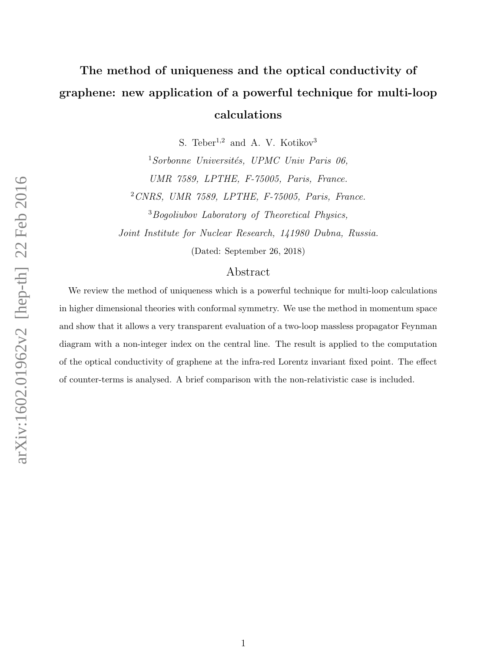# The method of uniqueness and the optical conductivity of graphene: new application of a powerful technique for multi-loop calculations

S. Teber<sup>1,2</sup> and A. V. Kotikov<sup>3</sup>

<sup>1</sup>Sorbonne Universités, UPMC Univ Paris 06, UMR 7589, LPTHE, F-75005, Paris, France. <sup>2</sup>CNRS, UMR 7589, LPTHE, F-75005, Paris, France. <sup>3</sup>Bogoliubov Laboratory of Theoretical Physics, Joint Institute for Nuclear Research, 141980 Dubna, Russia.

(Dated: September 26, 2018)

## Abstract

We review the method of uniqueness which is a powerful technique for multi-loop calculations in higher dimensional theories with conformal symmetry. We use the method in momentum space and show that it allows a very transparent evaluation of a two-loop massless propagator Feynman diagram with a non-integer index on the central line. The result is applied to the computation of the optical conductivity of graphene at the infra-red Lorentz invariant fixed point. The effect of counter-terms is analysed. A brief comparison with the non-relativistic case is included.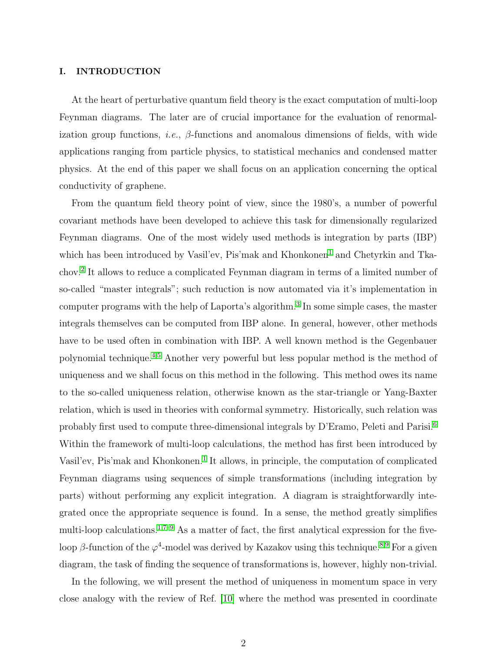#### I. INTRODUCTION

At the heart of perturbative quantum field theory is the exact computation of multi-loop Feynman diagrams. The later are of crucial importance for the evaluation of renormalization group functions, *i.e.*,  $\beta$ -functions and anomalous dimensions of fields, with wide applications ranging from particle physics, to statistical mechanics and condensed matter physics. At the end of this paper we shall focus on an application concerning the optical conductivity of graphene.

From the quantum field theory point of view, since the 1980's, a number of powerful covariant methods have been developed to achieve this task for dimensionally regularized Feynman diagrams. One of the most widely used methods is integration by parts (IBP) which has been introduced by Vasil'ev, Pis'mak and Khonkonen<sup>[1](#page-13-0)</sup> and Chetyrkin and Tkachov.[2](#page-13-1) It allows to reduce a complicated Feynman diagram in terms of a limited number of so-called "master integrals"; such reduction is now automated via it's implementation in computer programs with the help of Laporta's algorithm.<sup>[3](#page-13-2)</sup> In some simple cases, the master integrals themselves can be computed from IBP alone. In general, however, other methods have to be used often in combination with IBP. A well known method is the Gegenbauer polynomial technique.[4,](#page-13-3)[5](#page-13-4) Another very powerful but less popular method is the method of uniqueness and we shall focus on this method in the following. This method owes its name to the so-called uniqueness relation, otherwise known as the star-triangle or Yang-Baxter relation, which is used in theories with conformal symmetry. Historically, such relation was probably first used to compute three-dimensional integrals by D'Eramo, Peleti and Parisi.[6](#page-13-5) Within the framework of multi-loop calculations, the method has first been introduced by Vasil'ev, Pis'mak and Khonkonen.<sup>[1](#page-13-0)</sup> It allows, in principle, the computation of complicated Feynman diagrams using sequences of simple transformations (including integration by parts) without performing any explicit integration. A diagram is straightforwardly integrated once the appropriate sequence is found. In a sense, the method greatly simplifies multi-loop calculations.<sup>[1,](#page-13-0)[7–](#page-13-6)[9](#page-13-7)</sup> As a matter of fact, the first analytical expression for the fiveloop  $\beta$ -function of the  $\varphi^4$ -model was derived by Kazakov using this technique.<sup>[8,](#page-13-8)[9](#page-13-7)</sup> For a given diagram, the task of finding the sequence of transformations is, however, highly non-trivial.

In the following, we will present the method of uniqueness in momentum space in very close analogy with the review of Ref. [\[10\]](#page-13-9) where the method was presented in coordinate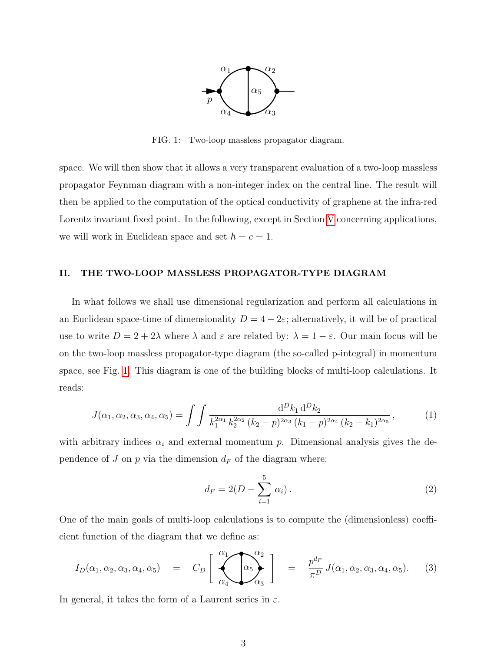

<span id="page-2-0"></span>FIG. 1: Two-loop massless propagator diagram.

space. We will then show that it allows a very transparent evaluation of a two-loop massless propagator Feynman diagram with a non-integer index on the central line. The result will then be applied to the computation of the optical conductivity of graphene at the infra-red Lorentz invariant fixed point. In the following, except in Section [V](#page-7-0) concerning applications, we will work in Euclidean space and set  $\hbar = c = 1$ .

## II. THE TWO-LOOP MASSLESS PROPAGATOR-TYPE DIAGRAM

In what follows we shall use dimensional regularization and perform all calculations in an Euclidean space-time of dimensionality  $D = 4 - 2\varepsilon$ ; alternatively, it will be of practical use to write  $D = 2 + 2\lambda$  where  $\lambda$  and  $\varepsilon$  are related by:  $\lambda = 1 - \varepsilon$ . Our main focus will be on the two-loop massless propagator-type diagram (the so-called p-integral) in momentum space, see Fig. [1.](#page-2-0) This diagram is one of the building blocks of multi-loop calculations. It reads:

<span id="page-2-1"></span>
$$
J(\alpha_1, \alpha_2, \alpha_3, \alpha_4, \alpha_5) = \int \int \frac{d^D k_1 d^D k_2}{k_1^{2\alpha_1} k_2^{2\alpha_2} (k_2 - p)^{2\alpha_3} (k_1 - p)^{2\alpha_4} (k_2 - k_1)^{2\alpha_5}},
$$
(1)

with arbitrary indices  $\alpha_i$  and external momentum p. Dimensional analysis gives the dependence of J on  $p$  via the dimension  $d_F$  of the diagram where:

$$
d_F = 2(D - \sum_{i=1}^{5} \alpha_i).
$$
 (2)

One of the main goals of multi-loop calculations is to compute the (dimensionless) coefficient function of the diagram that we define as:

$$
d_F = 2(D - \sum_{i=1} \alpha_i).
$$
\n(2)

\nFor the main goals of multi-loop calculations is to compute the (dimensionless) coefficient function of the diagram that we define as:

\n
$$
I_D(\alpha_1, \alpha_2, \alpha_3, \alpha_4, \alpha_5) = C_D \left[ \bigotimes_{\alpha_4}^{\alpha_1} \bigotimes_{\alpha_3}^{\alpha_2} \right] = \frac{p^{d_F}}{\pi^D} J(\alpha_1, \alpha_2, \alpha_3, \alpha_4, \alpha_5).
$$
\n(3)

In general, it takes the form of a Laurent series in  $\varepsilon$ .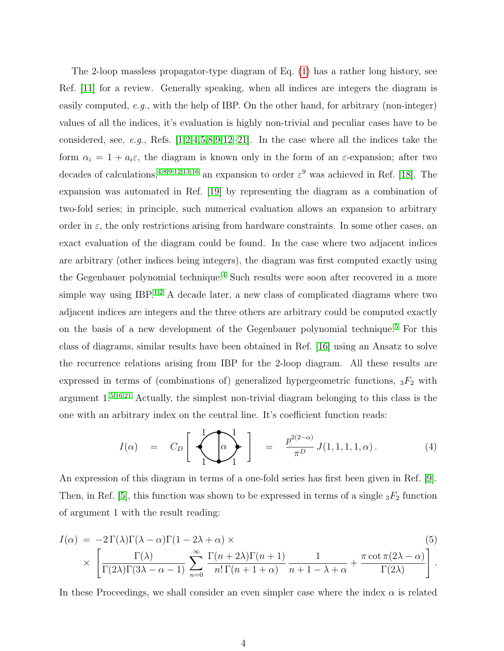The 2-loop massless propagator-type diagram of Eq. [\(1\)](#page-2-1) has a rather long history, see Ref. [\[11\]](#page-13-10) for a review. Generally speaking, when all indices are integers the diagram is easily computed, e.g., with the help of IBP. On the other hand, for arbitrary (non-integer) values of all the indices, it's evaluation is highly non-trivial and peculiar cases have to be considered, see, e.g., Refs.  $[1,2,4,5,8,9,12-21]$  $[1,2,4,5,8,9,12-21]$  $[1,2,4,5,8,9,12-21]$  $[1,2,4,5,8,9,12-21]$  $[1,2,4,5,8,9,12-21]$  $[1,2,4,5,8,9,12-21]$  $[1,2,4,5,8,9,12-21]$  $[1,2,4,5,8,9,12-21]$ . In the case where all the indices take the form  $\alpha_i = 1 + a_i \varepsilon$ , the diagram is known only in the form of an  $\varepsilon$ -expansion; after two decades of calculations,<sup>[4](#page-13-3)[,8](#page-13-8)[,9](#page-13-7)[,12](#page-13-11)[,13,](#page-13-12)[16](#page-13-13)</sup> an expansion to order  $\varepsilon^9$  was achieved in Ref. [\[18\]](#page-13-14). The expansion was automated in Ref. [\[19\]](#page-14-1) by representing the diagram as a combination of two-fold series; in principle, such numerical evaluation allows an expansion to arbitrary order in  $\varepsilon$ , the only restrictions arising from hardware constraints. In some other cases, an exact evaluation of the diagram could be found. In the case where two adjacent indices are arbitrary (other indices being integers), the diagram was first computed exactly using the Gegenbauer polynomial technique.<sup>[4](#page-13-3)</sup> Such results were soon after recovered in a more simple way using IBP.<sup>[1,](#page-13-0)[2](#page-13-1)</sup> A decade later, a new class of complicated diagrams where two adjacent indices are integers and the three others are arbitrary could be computed exactly on the basis of a new development of the Gegenbauer polynomial technique.[5](#page-13-4) For this class of diagrams, similar results have been obtained in Ref. [\[16\]](#page-13-13) using an Ansatz to solve the recurrence relations arising from IBP for the 2-loop diagram. All these results are expressed in terms of (combinations of) generalized hypergeometric functions,  ${}_{3}F_{2}$  with argument 1.[5](#page-13-4)[,16,](#page-13-13)[21](#page-14-0) Actually, the simplest non-trivial diagram belonging to this class is the one with an arbitrary index on the central line. It's coefficient function reads: From IBP<br>
ons of)  $\beta$ <br>
mplest not<br>
e central<br>  $\alpha$   $\alpha$   $\alpha$ 

$$
I(\alpha) = C_D \left[ \begin{array}{c} 1 \\ \hline 0 \end{array} \right] = \frac{p^{2(2-\alpha)}}{\pi^D} J(1,1,1,1,\alpha). \tag{4}
$$

An expression of this diagram in terms of a one-fold series has first been given in Ref. [\[9\]](#page-13-7). Then, in Ref. [\[5\]](#page-13-4), this function was shown to be expressed in terms of a single  ${}_{3}F_2$  function of argument 1 with the result reading:

$$
I(\alpha) = -2\Gamma(\lambda)\Gamma(\lambda - \alpha)\Gamma(1 - 2\lambda + \alpha) \times \left[\frac{\Gamma(\lambda)}{\Gamma(2\lambda)\Gamma(3\lambda - \alpha - 1)} \sum_{n=0}^{\infty} \frac{\Gamma(n + 2\lambda)\Gamma(n + 1)}{n!\Gamma(n + 1 + \alpha)} \frac{1}{n + 1 - \lambda + \alpha} + \frac{\pi \cot \pi (2\lambda - \alpha)}{\Gamma(2\lambda)}\right].
$$
\n(5)

In these Proceedings, we shall consider an even simpler case where the index  $\alpha$  is related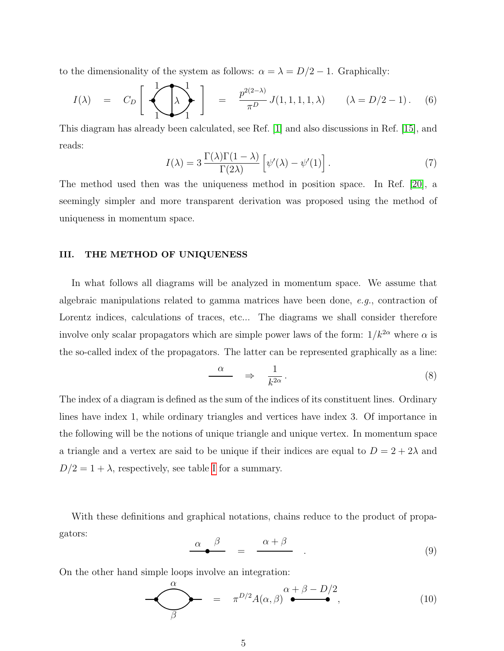<span id="page-4-2"></span>to the dimensionality of the system as follows:  $\alpha = \lambda = D/2 - 1$ . Graphically:

the dimensionality of the system as follows: 
$$
\alpha = \lambda = D/2 - 1
$$
. Graphically:  
\n
$$
I(\lambda) = C_D \begin{bmatrix} 1 \\ 1 \\ 1 \end{bmatrix} = \frac{p^{2(2-\lambda)}}{\pi^D} J(1, 1, 1, 1, \lambda) \qquad (\lambda = D/2 - 1). \quad (6)
$$

This diagram has already been calculated, see Ref. [\[1\]](#page-13-0) and also discussions in Ref. [\[15\]](#page-13-15), and reads:

<span id="page-4-3"></span>
$$
I(\lambda) = 3 \frac{\Gamma(\lambda)\Gamma(1-\lambda)}{\Gamma(2\lambda)} \left[ \psi'(\lambda) - \psi'(1) \right]. \tag{7}
$$

The method used then was the uniqueness method in position space. In Ref. [\[20\]](#page-14-2), a seemingly simpler and more transparent derivation was proposed using the method of uniqueness in momentum space.

#### III. THE METHOD OF UNIQUENESS

In what follows all diagrams will be analyzed in momentum space. We assume that algebraic manipulations related to gamma matrices have been done,  $e, q$ , contraction of Lorentz indices, calculations of traces, etc... The diagrams we shall consider therefore involve only scalar propagators which are simple power laws of the form:  $1/k^{2\alpha}$  where  $\alpha$  is the so-called index of the propagators. The latter can be represented graphically as a line: gamm<br>ces,  $\epsilon$ <br>th are<br>rs. Tl<br> $\alpha$ 

$$
\frac{\alpha}{k^{2\alpha}} \quad \Rightarrow \quad \frac{1}{k^{2\alpha}} \,. \tag{8}
$$

The index of a diagram is defined as the sum of the indices of its constituent lines. Ordinary lines have index 1, while ordinary triangles and vertices have index 3. Of importance in the following will be the notions of unique triangle and unique vertex. In momentum space a triangle and a vertex are said to be unique if their indices are equal to  $D = 2 + 2\lambda$  and

 $D/2 = 1 + \lambda$ , respectively, see table I for a summary.<br>With these definitions and graphical notations, chapters:<br> $\frac{\alpha}{\sqrt{2\pi}} = \frac{\alpha + \lambda}{\sqrt{2\pi}}$ With these definitions and graphical notations, chains reduce to the product of propagators: summary.<br>btations, chain<br> $= \frac{\alpha + \beta}{\alpha + \beta}$ 

<span id="page-4-1"></span><span id="page-4-0"></span>
$$
\alpha \qquad \beta \qquad = \qquad \frac{\alpha + \beta}{\qquad} \qquad . \tag{9}
$$

On the other hand simple loops involve an integration:

$$
\frac{\alpha}{\beta} = \frac{\alpha + \beta}{\pi^{D/2} A(\alpha, \beta)}.
$$
\n(9)

\nsimple loops involve an integration:

\n
$$
\frac{\alpha}{\beta} = \pi^{D/2} A(\alpha, \beta) \stackrel{\alpha + \beta - D/2}{\bullet},
$$
\n(10)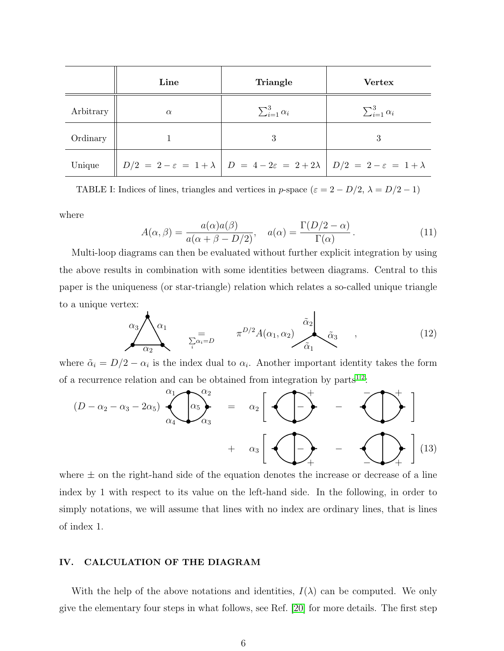|           | Line     | Triangle                                                                                                                     | <b>Vertex</b>             |
|-----------|----------|------------------------------------------------------------------------------------------------------------------------------|---------------------------|
| Arbitrary | $\alpha$ | $\sum_{i=1}^{3} \alpha_i$                                                                                                    | $\sum_{i=1}^{3} \alpha_i$ |
| Ordinary  |          | 3                                                                                                                            | 3                         |
| Unique    |          | $D/2 = 2 - \varepsilon = 1 + \lambda \left  D = 4 - 2\varepsilon = 2 + 2\lambda \right  D/2 = 2 - \varepsilon = 1 + \lambda$ |                           |

<span id="page-5-0"></span>TABLE I: Indices of lines, triangles and vertices in p-space ( $\varepsilon = 2 - D/2$ ,  $\lambda = D/2 - 1$ )

where

<span id="page-5-3"></span>
$$
A(\alpha, \beta) = \frac{a(\alpha)a(\beta)}{a(\alpha + \beta - D/2)}, \quad a(\alpha) = \frac{\Gamma(D/2 - \alpha)}{\Gamma(\alpha)}.
$$
 (11)

Multi-loop diagrams can then be evaluated without further explicit integration by using the above results in combination with some identities between diagrams. Central to this paper is the uniqueness (or star-triangle) relation which relates a so-called unique triangle to a unique vertex: Exercise  $\alpha_3$ <br>x:<br> $\alpha_3$ <br> $\alpha_2$ ed without further exp<br>
e identities between d<br>
lation which relates a<br>  $\alpha_2$ <br>  $\alpha_1$ <br>  $\alpha_2$ <br>  $\alpha_1$ 

<span id="page-5-1"></span>
$$
\alpha_3 \lambda_{\alpha_1} \overline{\alpha_2} = \pi^{D/2} A(\alpha_1, \alpha_2) \overline{\alpha_3} \overline{\alpha_3} \qquad (12)
$$
\n
$$
2 - \alpha_i
$$
 is the index dual to  $\alpha_i$ . Another important identity takes the form relation and can be obtained from integration by parts<sup>1,2</sup>:\n
$$
\alpha_3 \lambda_3 - 2\alpha_5 \lambda_4 \lambda_5 \lambda_6 \qquad = \alpha_2 \left[ \overbrace{\alpha_3}^{\alpha_1} - \overbrace{\alpha_4}^{\alpha_5} \right]
$$
\n
$$
(12)
$$

<span id="page-5-2"></span>where  $\tilde{\alpha}_i = D/2 - \alpha_i$  is the index dual to  $\alpha_i$ . Another important identity takes the form of a recurrence relation and can be obtained from integration by  $parts^{1,2}$  $parts^{1,2}$  $parts^{1,2}$  $parts^{1,2}$ .

$$
\alpha_3/\sqrt{\alpha_1} = \overline{\alpha_2} = \pi^{D/2} A(\alpha_1, \alpha_2) \overline{\alpha_1} \overline{\alpha_3} , \qquad (12)
$$
  
\nhere  $\tilde{\alpha}_i = D/2 - \alpha_i$  is the index dual to  $\alpha_i$ . Another important identity takes the form  
\na recurrence relation and can be obtained from integration by parts<sup>1,2</sup>:  
\n
$$
(D - \alpha_2 - \alpha_3 - 2\alpha_5) \overline{\alpha_1} \overline{\alpha_2} = \alpha_2 \left[ \begin{array}{c} + \\ - \end{array} - \begin{array}{c} - \\ - \end{array} \right] + \alpha_3 \left[ \begin{array}{c} + \\ - \end{array} \right] (13)
$$

where  $\pm$  on the right-hand side of the equation denotes the increase or decrease of a line index by 1 with respect to its value on the left-hand side. In the following, in order to simply notations, we will assume that lines with no index are ordinary lines, that is lines of index 1.

## IV. CALCULATION OF THE DIAGRAM

With the help of the above notations and identities,  $I(\lambda)$  can be computed. We only give the elementary four steps in what follows, see Ref. [\[20\]](#page-14-2) for more details. The first step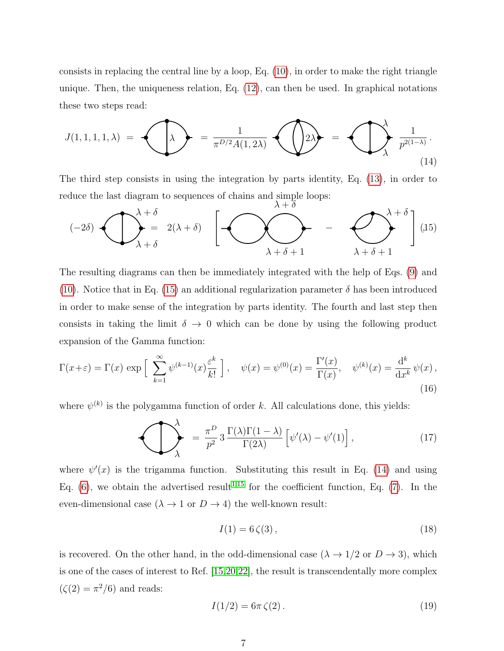consists in replacing the central line by a loop, Eq. [\(10\)](#page-4-0), in order to make the right triangle unique. Then, the uniqueness relation, Eq. [\(12\)](#page-5-1), can then be used. In graphical notations these two steps read: onsists in replacing the central line<br>nique. Then, the uniqueness relations<br>hese two steps read:<br> $J(1, 1, 1, 1, \lambda) = \begin{pmatrix} 1 & 1 \\ 1 & 1 \\ 1 & 1 \end{pmatrix}$ by a loop, Eq. (10), in order to make the ri<br>n, Eq. (12), can then be used. In graphics<br> $\frac{1}{\pi^{D/2}A(1, 2\lambda)}$   $\left(\sqrt{\frac{2\lambda}{\lambda}}\right)^{\lambda} = \left(\frac{\lambda}{\lambda}\right)^{\lambda}$ 

<span id="page-6-1"></span>
$$
J(1,1,1,1,\lambda) = \bigodot_{\lambda} \leftarrow \frac{1}{\pi^{D/2}A(1,2\lambda)} \bigodot_{\lambda} \leftarrow \leftarrow \bigodot_{\lambda} \frac{1}{p^{2(1-\lambda)}}. \tag{14}
$$

The third step consists in using the integration by parts identity, Eq. (13), in order to reduce the last diagram to sequences of chains and simple loops:

ne third step consists in using the integration by parts identity, Eq. (13), in order to  
duce the last diagram to sequences of chains and simple loops:  

$$
(-2\delta) \begin{pmatrix} \lambda + \delta \\ -\infty \\ \lambda + \delta \end{pmatrix} = 2(\lambda + \delta) \begin{bmatrix} \lambda + \delta \\ \lambda + \delta + 1 \end{bmatrix} - \begin{pmatrix} \lambda + \delta \\ \lambda + \delta + 1 \end{pmatrix}
$$
(15)

<span id="page-6-0"></span>The resulting diagrams can then be immediately integrated with the help of Eqs. [\(9\)](#page-4-1) and [\(10\)](#page-4-0). Notice that in Eq. [\(15\)](#page-6-0) an additional regularization parameter  $\delta$  has been introduced in order to make sense of the integration by parts identity. The fourth and last step then consists in taking the limit  $\delta \to 0$  which can be done by using the following product expansion of the Gamma function:

$$
\Gamma(x+\varepsilon) = \Gamma(x) \exp\left[\sum_{k=1}^{\infty} \psi^{(k-1)}(x) \frac{\varepsilon^k}{k!} \right], \quad \psi(x) = \psi^{(0)}(x) = \frac{\Gamma'(x)}{\Gamma(x)}, \quad \psi^{(k)}(x) = \frac{d^k}{dx^k} \psi(x),
$$
\n(16)\nwhere  $\psi^{(k)}$  is the polygonma function of order  $k$ . All calculations done, this yields:\n
$$
\sum_{\lambda}^{\lambda} = \frac{\pi^D}{p^2} 3 \frac{\Gamma(\lambda)\Gamma(1-\lambda)}{\Gamma(2\lambda)} \left[\psi'(\lambda) - \psi'(1)\right],
$$
\n(17)

where  $\psi^{(k)}$  is the polygamma function of order k. All calculations done, this yields:

$$
\sum_{\lambda}^{\lambda} = \frac{\pi^D}{p^2} 3 \frac{\Gamma(\lambda)\Gamma(1-\lambda)}{\Gamma(2\lambda)} \left[ \psi'(\lambda) - \psi'(1) \right], \tag{17}
$$

where  $\psi'(x)$  is the trigamma function. Substituting this result in Eq. [\(14\)](#page-6-1) and using Eq.  $(6)$ , we obtain the advertised result<sup>[1](#page-13-0)[,15](#page-13-15)</sup> for the coefficient function, Eq.  $(7)$ . In the even-dimensional case  $(\lambda \rightarrow 1 \text{ or } D \rightarrow 4)$  the well-known result:

$$
I(1) = 6\,\zeta(3)\,,\tag{18}
$$

is recovered. On the other hand, in the odd-dimensional case ( $\lambda \rightarrow 1/2$  or  $D \rightarrow 3$ ), which is one of the cases of interest to Ref. [\[15](#page-13-15)[,20](#page-14-2)[,22\]](#page-14-3), the result is transcendentally more complex  $(\zeta(2) = \pi^2/6)$  and reads:

$$
I(1/2) = 6\pi \zeta(2). \tag{19}
$$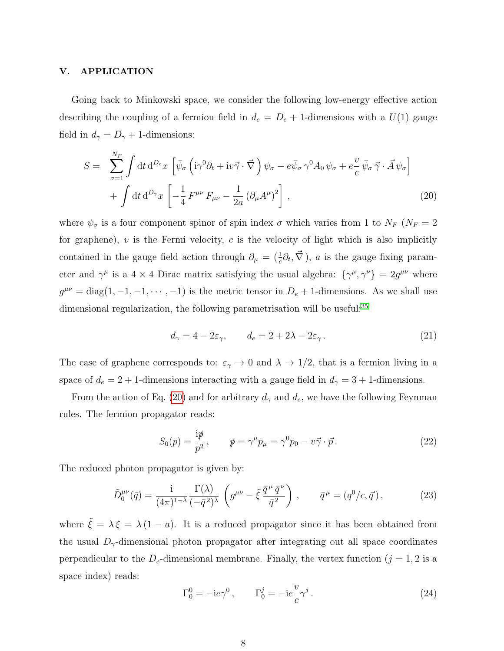#### <span id="page-7-0"></span>V. APPLICATION

Going back to Minkowski space, we consider the following low-energy effective action describing the coupling of a fermion field in  $d_e = D_e + 1$ -dimensions with a  $U(1)$  gauge field in  $d_{\gamma} = D_{\gamma} + 1$ -dimensions:

<span id="page-7-1"></span>
$$
S = \sum_{\sigma=1}^{N_F} \int \mathrm{d}t \, \mathrm{d}^{D_e} x \left[ \bar{\psi}_{\sigma} \left( i \gamma^0 \partial_t + i v \vec{\gamma} \cdot \vec{\nabla} \right) \psi_{\sigma} - e \bar{\psi}_{\sigma} \gamma^0 A_0 \psi_{\sigma} + e \frac{v}{c} \bar{\psi}_{\sigma} \vec{\gamma} \cdot \vec{A} \psi_{\sigma} \right] + \int \mathrm{d}t \, \mathrm{d}^{D_\gamma} x \left[ -\frac{1}{4} F^{\mu\nu} F_{\mu\nu} - \frac{1}{2a} \left( \partial_{\mu} A^{\mu} \right)^2 \right], \tag{20}
$$

where  $\psi_{\sigma}$  is a four component spinor of spin index  $\sigma$  which varies from 1 to  $N_F$  ( $N_F = 2$ ) for graphene),  $v$  is the Fermi velocity,  $c$  is the velocity of light which is also implicitly contained in the gauge field action through  $\partial_{\mu} = (\frac{1}{c}\partial_{t}, \vec{\nabla})$ , a is the gauge fixing parameter and  $\gamma^{\mu}$  is a 4 × 4 Dirac matrix satisfying the usual algebra:  $\{\gamma^{\mu}, \gamma^{\nu}\} = 2g^{\mu\nu}$  where  $g^{\mu\nu} = \text{diag}(1, -1, -1, \dots, -1)$  is the metric tensor in  $D_e + 1$ -dimensions. As we shall use dimensional regularization, the following parametrisation will be useful:<sup>[35](#page-14-4)</sup>

$$
d_{\gamma} = 4 - 2\varepsilon_{\gamma}, \qquad d_{e} = 2 + 2\lambda - 2\varepsilon_{\gamma}.
$$
 (21)

The case of graphene corresponds to:  $\varepsilon_{\gamma} \to 0$  and  $\lambda \to 1/2$ , that is a fermion living in a space of  $d_e = 2 + 1$ -dimensions interacting with a gauge field in  $d<sub>\gamma</sub> = 3 + 1$ -dimensions.

From the action of Eq. [\(20\)](#page-7-1) and for arbitrary  $d_{\gamma}$  and  $d_e$ , we have the following Feynman rules. The fermion propagator reads:

$$
S_0(p) = \frac{\mathrm{i}\psi}{p^2}, \qquad \psi = \gamma^\mu p_\mu = \gamma^0 p_0 - v\vec{\gamma} \cdot \vec{p}. \tag{22}
$$

The reduced photon propagator is given by:

$$
\tilde{D}_0^{\mu\nu}(\bar{q}) = \frac{\mathrm{i}}{(4\pi)^{1-\lambda}} \frac{\Gamma(\lambda)}{(-\bar{q}^2)^{\lambda}} \left( g^{\mu\nu} - \tilde{\xi} \frac{\bar{q}^{\mu} \bar{q}^{\nu}}{\bar{q}^2} \right) , \qquad \bar{q}^{\mu} = (q^0/c, \vec{q}) , \qquad (23)
$$

where  $\tilde{\xi} = \lambda \xi = \lambda (1 - a)$ . It is a reduced propagator since it has been obtained from the usual  $D_{\gamma}$ -dimensional photon propagator after integrating out all space coordinates perpendicular to the  $D_e$ -dimensional membrane. Finally, the vertex function  $(j = 1, 2$  is a space index) reads:

$$
\Gamma_0^0 = -ie\gamma^0, \qquad \Gamma_0^j = -ie\frac{v}{c}\gamma^j. \tag{24}
$$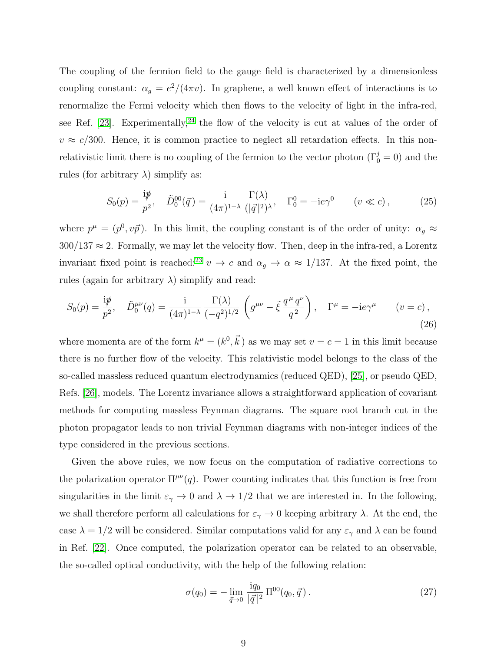The coupling of the fermion field to the gauge field is characterized by a dimensionless coupling constant:  $\alpha_g = e^2/(4\pi v)$ . In graphene, a well known effect of interactions is to renormalize the Fermi velocity which then flows to the velocity of light in the infra-red, see Ref. [\[23\]](#page-14-5). Experimentally,<sup>[24](#page-14-6)</sup> the flow of the velocity is cut at values of the order of  $v \approx c/300$ . Hence, it is common practice to neglect all retardation effects. In this nonrelativistic limit there is no coupling of the fermion to the vector photon  $(\Gamma_0^j = 0)$  and the rules (for arbitrary  $\lambda$ ) simplify as:

$$
S_0(p) = \frac{\mathrm{i}\cancel{p}}{p^2}, \quad \tilde{D}_0^{00}(\vec{q}) = \frac{\mathrm{i}}{(4\pi)^{1-\lambda}} \frac{\Gamma(\lambda)}{(|\vec{q}|^2)^{\lambda}}, \quad \Gamma_0^0 = -\mathrm{i}e\gamma^0 \qquad (v \ll c), \tag{25}
$$

where  $p^{\mu} = (p^0, v\vec{p})$ . In this limit, the coupling constant is of the order of unity:  $\alpha_g \approx$  $300/137 \approx 2$ . Formally, we may let the velocity flow. Then, deep in the infra-red, a Lorentz invariant fixed point is reached:<sup>[23](#page-14-5)</sup> v  $\rightarrow$  c and  $\alpha_g \rightarrow \alpha \approx 1/137$ . At the fixed point, the rules (again for arbitrary  $\lambda$ ) simplify and read:

$$
S_0(p) = \frac{ip}{p^2}, \quad \tilde{D}_0^{\mu\nu}(q) = \frac{i}{(4\pi)^{1-\lambda}} \frac{\Gamma(\lambda)}{(-q^2)^{1/2}} \left( g^{\mu\nu} - \tilde{\xi} \frac{q^{\mu} q^{\nu}}{q^2} \right), \quad \Gamma^{\mu} = -ie\gamma^{\mu} \qquad (v = c),
$$
\n(26)

where momenta are of the form  $k^{\mu} = (k^0, \vec{k})$  as we may set  $v = c = 1$  in this limit because there is no further flow of the velocity. This relativistic model belongs to the class of the so-called massless reduced quantum electrodynamics (reduced QED), [\[25\]](#page-14-7), or pseudo QED, Refs. [\[26\]](#page-14-8), models. The Lorentz invariance allows a straightforward application of covariant methods for computing massless Feynman diagrams. The square root branch cut in the photon propagator leads to non trivial Feynman diagrams with non-integer indices of the type considered in the previous sections.

Given the above rules, we now focus on the computation of radiative corrections to the polarization operator  $\Pi^{\mu\nu}(q)$ . Power counting indicates that this function is free from singularities in the limit  $\varepsilon_{\gamma} \to 0$  and  $\lambda \to 1/2$  that we are interested in. In the following, we shall therefore perform all calculations for  $\varepsilon_{\gamma} \to 0$  keeping arbitrary  $\lambda$ . At the end, the case  $\lambda = 1/2$  will be considered. Similar computations valid for any  $\varepsilon_{\gamma}$  and  $\lambda$  can be found in Ref. [\[22\]](#page-14-3). Once computed, the polarization operator can be related to an observable, the so-called optical conductivity, with the help of the following relation:

<span id="page-8-0"></span>
$$
\sigma(q_0) = -\lim_{\vec{q}\to 0} \frac{iq_0}{|\vec{q}|^2} \Pi^{00}(q_0, \vec{q}) . \tag{27}
$$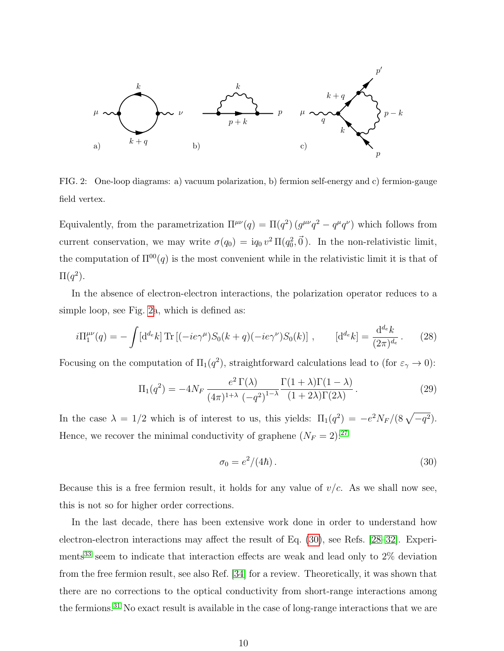

<span id="page-9-0"></span>FIG. 2: One-loop diagrams: a) vacuum polarization, b) fermion self-energy and c) fermion-gauge field vertex.

Equivalently, from the parametrization  $\Pi^{\mu\nu}(q) = \Pi(q^2) (g^{\mu\nu}q^2 - q^{\mu}q^{\nu})$  which follows from current conservation, we may write  $\sigma(q_0) = iq_0 v^2 \Pi(q_0^2, \vec{0})$ . In the non-relativistic limit, the computation of  $\Pi^{00}(q)$  is the most convenient while in the relativistic limit it is that of  $\Pi(q^2)$ .

In the absence of electron-electron interactions, the polarization operator reduces to a simple loop, see Fig. [2a](#page-9-0), which is defined as:

$$
i\Pi_1^{\mu\nu}(q) = -\int [\mathrm{d}^{d_e} k] \, \text{Tr} \left[ (-ie\gamma^\mu) S_0(k+q) (-ie\gamma^\nu) S_0(k) \right] \,, \qquad [\mathrm{d}^{d_e} k] = \frac{\mathrm{d}^{d_e} k}{(2\pi)^{d_e}} \,. \tag{28}
$$

Focusing on the computation of  $\Pi_1(q^2)$ , straightforward calculations lead to (for  $\varepsilon_\gamma \to 0$ ):

<span id="page-9-2"></span>
$$
\Pi_1(q^2) = -4N_F \frac{e^2 \Gamma(\lambda)}{(4\pi)^{1+\lambda} \left(-q^2\right)^{1-\lambda}} \frac{\Gamma(1+\lambda)\Gamma(1-\lambda)}{(1+2\lambda)\Gamma(2\lambda)}.
$$
\n(29)

In the case  $\lambda = 1/2$  which is of interest to us, this yields:  $\Pi_1(q^2) = -e^2 N_F/(8\sqrt{-q^2})$ . Hence, we recover the minimal conductivity of graphene  $(N_F = 2)$ :<sup>[27](#page-14-9)</sup>

<span id="page-9-1"></span>
$$
\sigma_0 = e^2/(4\hbar). \tag{30}
$$

Because this is a free fermion result, it holds for any value of  $v/c$ . As we shall now see, this is not so for higher order corrections.

In the last decade, there has been extensive work done in order to understand how electron-electron interactions may affect the result of Eq. [\(30\)](#page-9-1), see Refs. [\[28–](#page-14-10)[32\]](#page-14-11). Experi-ments<sup>[33](#page-14-12)</sup> seem to indicate that interaction effects are weak and lead only to  $2\%$  deviation from the free fermion result, see also Ref. [\[34\]](#page-14-13) for a review. Theoretically, it was shown that there are no corrections to the optical conductivity from short-range interactions among the fermions.[31](#page-14-14) No exact result is available in the case of long-range interactions that we are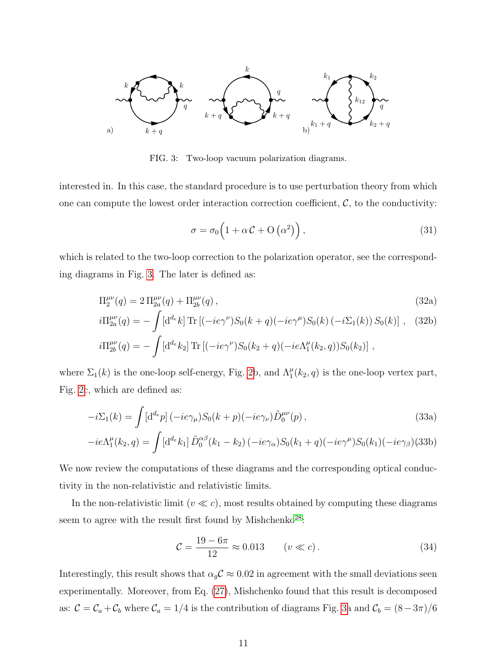

<span id="page-10-0"></span>FIG. 3: Two-loop vacuum polarization diagrams.

interested in. In this case, the standard procedure is to use perturbation theory from which one can compute the lowest order interaction correction coefficient,  $\mathcal{C}$ , to the conductivity:

<span id="page-10-2"></span>
$$
\sigma = \sigma_0 \left( 1 + \alpha \mathcal{C} + O\left(\alpha^2\right) \right),\tag{31}
$$

which is related to the two-loop correction to the polarization operator, see the corresponding diagrams in Fig. [3.](#page-10-0) The later is defined as:

$$
\Pi_2^{\mu\nu}(q) = 2 \Pi_{2a}^{\mu\nu}(q) + \Pi_{2b}^{\mu\nu}(q) , \qquad (32a)
$$

$$
i\Pi_{2a}^{\mu\nu}(q) = -\int [d^{d_e}k] \operatorname{Tr} \left[ (-ie\gamma^{\nu})S_0(k+q)(-ie\gamma^{\mu})S_0(k) (-i\Sigma_1(k)) S_0(k) \right], \quad (32b)
$$

$$
i\Pi_{2b}^{\mu\nu}(q) = -\int [d^{d_e}k_2] \operatorname{Tr} [(-ie\gamma^{\nu})S_0(k_2 + q)(-ie\Lambda_1^{\mu}(k_2, q))S_0(k_2)] ,
$$

where  $\Sigma_1(k)$  is the one-loop self-energy, Fig. [2b](#page-9-0), and  $\Lambda_1^{\mu}(k_2, q)$  is the one-loop vertex part, Fig. [2c](#page-9-0), which are defined as:

$$
-i\Sigma_1(k) = \int [d^d p] \left(-ie\gamma_\mu\right) S_0(k+p) \left(-ie\gamma_\nu\right) \tilde{D}_0^{\mu\nu}(p) ,\tag{33a}
$$

$$
-ie\Lambda_1^{\mu}(k_2, q) = \int [d^{d_e}k_1] \, \tilde{D}_0^{\alpha\beta}(k_1 - k_2) \, (-ie\gamma_\alpha) S_0(k_1 + q)(-ie\gamma^\mu) S_0(k_1) (-ie\gamma_\beta) (33b)
$$

We now review the computations of these diagrams and the corresponding optical conductivity in the non-relativistic and relativistic limits.

In the non-relativistic limit ( $v \ll c$ ), most results obtained by computing these diagrams seem to agree with the result first found by Mishchenko<sup>[28](#page-14-10)</sup>:

<span id="page-10-1"></span>
$$
C = \frac{19 - 6\pi}{12} \approx 0.013 \qquad (v \ll c).
$$
 (34)

Interestingly, this result shows that  $\alpha_{g}C \approx 0.02$  in agreement with the small deviations seen experimentally. Moreover, from Eq. [\(27\)](#page-8-0), Mishchenko found that this result is decomposed as:  $C = C_a + C_b$  where  $C_a = 1/4$  is the contribution of diagrams Fig. [3a](#page-10-0) and  $C_b = (8-3\pi)/6$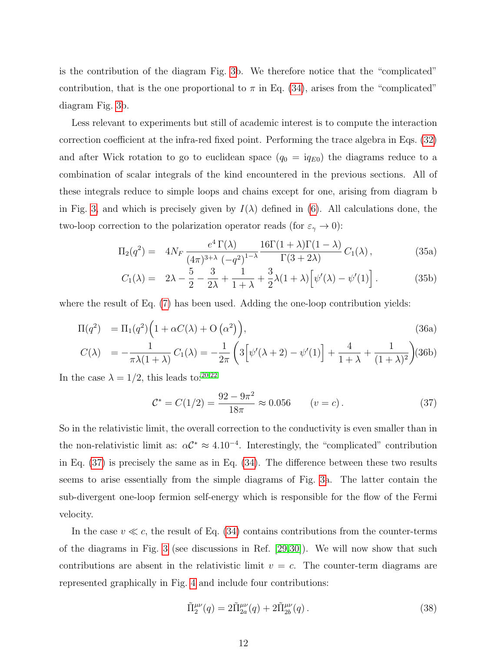is the contribution of the diagram Fig. [3b](#page-10-0). We therefore notice that the "complicated" contribution, that is the one proportional to  $\pi$  in Eq. [\(34\)](#page-10-1), arises from the "complicated" diagram Fig. [3b](#page-10-0).

Less relevant to experiments but still of academic interest is to compute the interaction correction coefficient at the infra-red fixed point. Performing the trace algebra in Eqs. [\(32\)](#page-10-2) and after Wick rotation to go to euclidean space  $(q_0 = i q_{E0})$  the diagrams reduce to a combination of scalar integrals of the kind encountered in the previous sections. All of these integrals reduce to simple loops and chains except for one, arising from diagram b in Fig. [3,](#page-10-0) and which is precisely given by  $I(\lambda)$  defined in [\(6\)](#page-4-2). All calculations done, the two-loop correction to the polarization operator reads (for  $\varepsilon_{\gamma} \to 0$ ):

$$
\Pi_2(q^2) = 4N_F \frac{e^4 \Gamma(\lambda)}{(4\pi)^{3+\lambda} \left(-q^2\right)^{1-\lambda}} \frac{16\Gamma(1+\lambda)\Gamma(1-\lambda)}{\Gamma(3+2\lambda)} C_1(\lambda), \tag{35a}
$$

$$
C_1(\lambda) = 2\lambda - \frac{5}{2} - \frac{3}{2\lambda} + \frac{1}{1+\lambda} + \frac{3}{2}\lambda(1+\lambda)\left[\psi'(\lambda) - \psi'(1)\right].
$$
 (35b)

where the result of Eq. [\(7\)](#page-4-3) has been used. Adding the one-loop contribution yields:

$$
\Pi(q^2) = \Pi_1(q^2) \left( 1 + \alpha C(\lambda) + O\left(\alpha^2\right) \right),\tag{36a}
$$

$$
C(\lambda) = -\frac{1}{\pi \lambda (1 + \lambda)} C_1(\lambda) = -\frac{1}{2\pi} \left( 3 \left[ \psi'(\lambda + 2) - \psi'(1) \right] + \frac{4}{1 + \lambda} + \frac{1}{(1 + \lambda)^2} \right) (36b)
$$

In the case  $\lambda = 1/2$ , this leads to:<sup>[20](#page-14-2)[,22](#page-14-3)</sup>

<span id="page-11-0"></span>
$$
\mathcal{C}^* = C(1/2) = \frac{92 - 9\pi^2}{18\pi} \approx 0.056 \qquad (v = c).
$$
 (37)

So in the relativistic limit, the overall correction to the conductivity is even smaller than in the non-relativistic limit as:  $\alpha C^* \approx 4.10^{-4}$ . Interestingly, the "complicated" contribution in Eq. [\(37\)](#page-11-0) is precisely the same as in Eq. [\(34\)](#page-10-1). The difference between these two results seems to arise essentially from the simple diagrams of Fig. [3a](#page-10-0). The latter contain the sub-divergent one-loop fermion self-energy which is responsible for the flow of the Fermi velocity.

In the case  $v \ll c$ , the result of Eq. [\(34\)](#page-10-1) contains contributions from the counter-terms of the diagrams in Fig. [3](#page-10-0) (see discussions in Ref. [\[29,](#page-14-15)[30\]](#page-14-16)). We will now show that such contributions are absent in the relativistic limit  $v = c$ . The counter-term diagrams are represented graphically in Fig. [4](#page-12-0) and include four contributions:

<span id="page-11-1"></span>
$$
\tilde{\Pi}_2^{\mu\nu}(q) = 2\tilde{\Pi}_{2a}^{\mu\nu}(q) + 2\tilde{\Pi}_{2b}^{\mu\nu}(q). \tag{38}
$$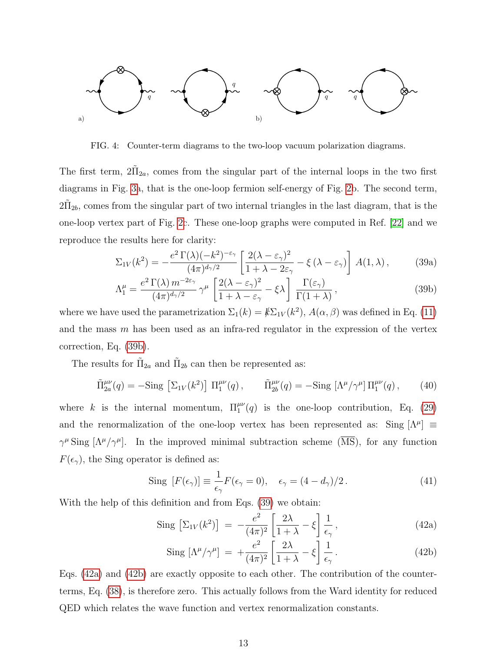

<span id="page-12-0"></span>FIG. 4: Counter-term diagrams to the two-loop vacuum polarization diagrams.

The first term,  $2\tilde{\Pi}_{2a}$ , comes from the singular part of the internal loops in the two first diagrams in Fig. [3a](#page-10-0), that is the one-loop fermion self-energy of Fig. [2b](#page-9-0). The second term,  $2\tilde{\Pi}_{2b}$ , comes from the singular part of two internal triangles in the last diagram, that is the one-loop vertex part of Fig. [2c](#page-9-0). These one-loop graphs were computed in Ref. [\[22\]](#page-14-3) and we reproduce the results here for clarity:

<span id="page-12-2"></span>
$$
\Sigma_{1V}(k^2) = -\frac{e^2 \Gamma(\lambda)(-k^2)^{-\epsilon_{\gamma}}}{(4\pi)^{d_{\gamma}/2}} \left[ \frac{2(\lambda - \epsilon_{\gamma})^2}{1 + \lambda - 2\epsilon_{\gamma}} - \xi(\lambda - \epsilon_{\gamma}) \right] A(1, \lambda), \quad (39a)
$$

<span id="page-12-1"></span>
$$
\Lambda_1^{\mu} = \frac{e^2 \Gamma(\lambda) m^{-2\varepsilon_{\gamma}}}{(4\pi)^{d_{\gamma}/2}} \gamma^{\mu} \left[ \frac{2(\lambda - \varepsilon_{\gamma})^2}{1 + \lambda - \varepsilon_{\gamma}} - \xi \lambda \right] \frac{\Gamma(\varepsilon_{\gamma})}{\Gamma(1 + \lambda)},
$$
\n(39b)

where we have used the parametrization  $\Sigma_1(k) = k \Sigma_{1V}(k^2)$ ,  $A(\alpha, \beta)$  was defined in Eq. [\(11\)](#page-5-3) and the mass  $m$  has been used as an infra-red regulator in the expression of the vertex correction, Eq. [\(39b\)](#page-12-1).

The results for  $\tilde{\Pi}_{2a}$  and  $\tilde{\Pi}_{2b}$  can then be represented as:

$$
\tilde{\Pi}_{2a}^{\mu\nu}(q) = -\text{Sing} \left[ \Sigma_{1V}(k^2) \right] \, \Pi_1^{\mu\nu}(q) \,, \qquad \tilde{\Pi}_{2b}^{\mu\nu}(q) = -\text{Sing} \left[ \Lambda^\mu / \gamma^\mu \right] \Pi_1^{\mu\nu}(q) \,, \tag{40}
$$

where k is the internal momentum,  $\Pi_1^{\mu\nu}(q)$  is the one-loop contribution, Eq. [\(29\)](#page-9-2) and the renormalization of the one-loop vertex has been represented as: Sing  $[\Lambda^{\mu}] \equiv$  $\gamma^{\mu}$  Sing  $[\Lambda^{\mu}/\gamma^{\mu}]$ . In the improved minimal subtraction scheme ( $\overline{\text{MS}}$ ), for any function  $F(\epsilon_\gamma),$  the Sing operator is defined as:

$$
\text{Sing } [F(\epsilon_{\gamma})] \equiv \frac{1}{\epsilon_{\gamma}} F(\epsilon_{\gamma} = 0), \quad \epsilon_{\gamma} = (4 - d_{\gamma})/2. \tag{41}
$$

With the help of this definition and from Eqs. [\(39\)](#page-12-2) we obtain:

<span id="page-12-3"></span>
$$
\text{Sing} \left[ \Sigma_{1V}(k^2) \right] = -\frac{e^2}{(4\pi)^2} \left[ \frac{2\lambda}{1+\lambda} - \xi \right] \frac{1}{\epsilon_\gamma}, \tag{42a}
$$

$$
\text{Sing }[\Lambda^{\mu}/\gamma^{\mu}] = +\frac{e^2}{(4\pi)^2} \left[ \frac{2\lambda}{1+\lambda} - \xi \right] \frac{1}{\epsilon_{\gamma}}. \tag{42b}
$$

Eqs. [\(42a\)](#page-12-3) and [\(42b\)](#page-12-3) are exactly opposite to each other. The contribution of the counterterms, Eq. [\(38\)](#page-11-1), is therefore zero. This actually follows from the Ward identity for reduced QED which relates the wave function and vertex renormalization constants.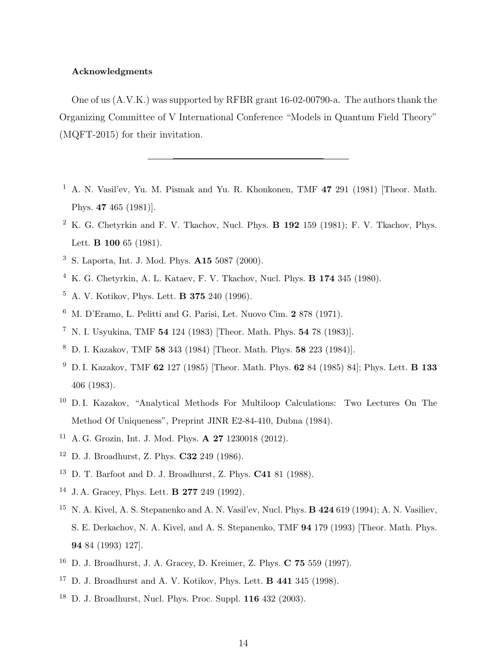# Acknowledgments

One of us (A.V.K.) was supported by RFBR grant 16-02-00790-a. The authors thank the Organizing Committee of V International Conference "Models in Quantum Field Theory" (MQFT-2015) for their invitation.

- <span id="page-13-0"></span><sup>1</sup> A. N. Vasil'ev, Yu. M. Pismak and Yu. R. Khonkonen, TMF 47 291 (1981) [Theor. Math. Phys. 47 465 (1981)].
- <span id="page-13-1"></span><sup>2</sup> K. G. Chetyrkin and F. V. Tkachov, Nucl. Phys. B 192 159 (1981); F. V. Tkachov, Phys. Lett. **B** 100 65 (1981).
- <span id="page-13-2"></span><sup>3</sup> S. Laporta, Int. J. Mod. Phys. A15 5087 (2000).
- <span id="page-13-3"></span><sup>4</sup> K. G. Chetyrkin, A. L. Kataev, F. V. Tkachov, Nucl. Phys. **B** 174 345 (1980).
- <span id="page-13-4"></span><sup>5</sup> A. V. Kotikov, Phys. Lett. B 375 240 (1996).
- <span id="page-13-5"></span><sup>6</sup> M. D'Eramo, L. Pelitti and G. Parisi, Let. Nuovo Cim. 2 878 (1971).
- <span id="page-13-6"></span><sup>7</sup> N. I. Usyukina, TMF 54 124 (1983) [Theor. Math. Phys. 54 78 (1983)].
- <span id="page-13-8"></span><sup>8</sup> D. I. Kazakov, TMF 58 343 (1984) [Theor. Math. Phys. 58 223 (1984)].
- <span id="page-13-7"></span><sup>9</sup> D. I. Kazakov, TMF 62 127 (1985) [Theor. Math. Phys. 62 84 (1985) 84]; Phys. Lett. **B 133** 406 (1983).
- <span id="page-13-9"></span><sup>10</sup> D.I. Kazakov, "Analytical Methods For Multiloop Calculations: Two Lectures On The Method Of Uniqueness", Preprint JINR E2-84-410, Dubna (1984).
- <span id="page-13-10"></span><sup>11</sup> A. G. Grozin, Int. J. Mod. Phys. **A 27** 1230018 (2012).
- <span id="page-13-11"></span><sup>12</sup> D. J. Broadhurst, Z. Phys. C32 249 (1986).
- <span id="page-13-12"></span><sup>13</sup> D. T. Barfoot and D. J. Broadhurst, Z. Phys. C41 81 (1988).
- <sup>14</sup> J. A. Gracey, Phys. Lett. B 277 249 (1992).
- <span id="page-13-15"></span><sup>15</sup> N. A. Kivel, A. S. Stepanenko and A. N. Vasil'ev, Nucl. Phys. **B 424** 619 (1994); A. N. Vasiliev, S. E. Derkachov, N. A. Kivel, and A. S. Stepanenko, TMF 94 179 (1993) [Theor. Math. Phys. 94 84 (1993) 127].
- <span id="page-13-13"></span><sup>16</sup> D. J. Broadhurst, J. A. Gracey, D. Kreimer, Z. Phys. C 75 559 (1997).
- <sup>17</sup> D. J. Broadhurst and A. V. Kotikov, Phys. Lett. **B 441** 345 (1998).
- <span id="page-13-14"></span> $18$  D. J. Broadhurst, Nucl. Phys. Proc. Suppl.  $116$  432 (2003).